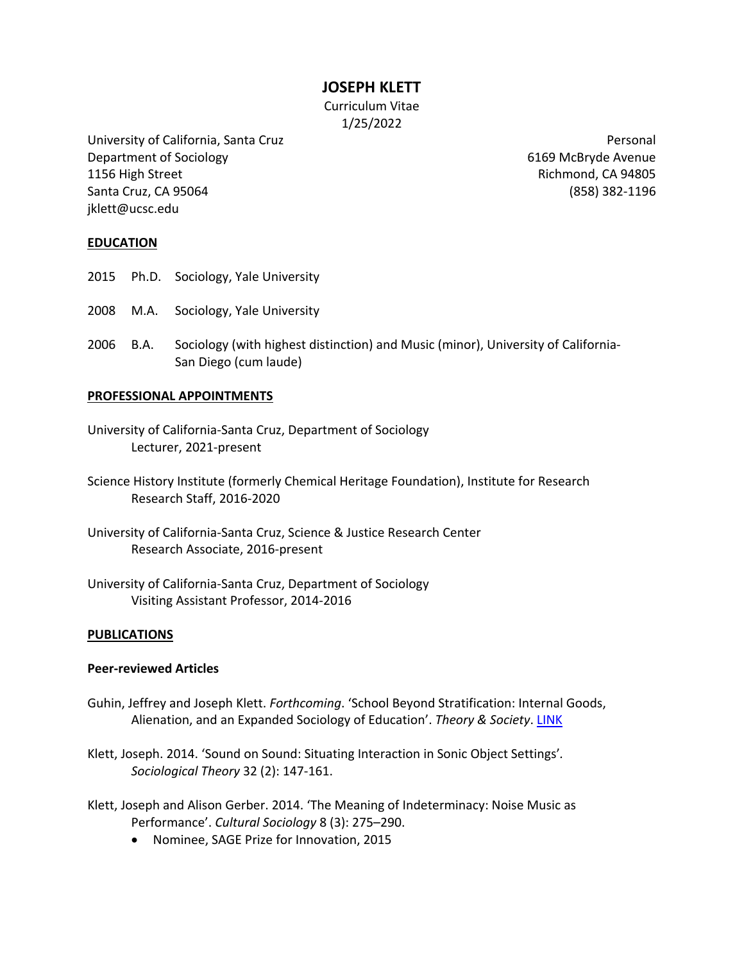**JOSEPH KLETT**

Curriculum Vitae 1/25/2022

University of California, Santa Cruz Department of Sociology 1156 High Street Santa Cruz, CA 95064 jklett@ucsc.edu

Personal 6169 McBryde Avenue Richmond, CA 94805 (858) 382-1196

# **EDUCATION**

- 2015 Ph.D. Sociology, Yale University
- 2008 M.A. Sociology, Yale University
- 2006 B.A. Sociology (with highest distinction) and Music (minor), University of California-San Diego (cum laude)

## **PROFESSIONAL APPOINTMENTS**

- University of California-Santa Cruz, Department of Sociology Lecturer, 2021-present
- Science History Institute (formerly Chemical Heritage Foundation), Institute for Research Research Staff, 2016-2020
- University of California-Santa Cruz, Science & Justice Research Center Research Associate, 2016-present
- University of California-Santa Cruz, Department of Sociology Visiting Assistant Professor, 2014-2016

## **PUBLICATIONS**

## **Peer-reviewed Articles**

- Guhin, Jeffrey and Joseph Klett. *Forthcoming*. 'School Beyond Stratification: Internal Goods, Alienation, and an Expanded Sociology of Education'. *Theory & Society*. [LINK](https://link.springer.com/article/10.1007/s11186-022-09472-6)
- Klett, Joseph. 2014. 'Sound on Sound: Situating Interaction in Sonic Object Settings'*. Sociological Theory* 32 (2): 147-161.
- Klett, Joseph and Alison Gerber. 2014. 'The Meaning of Indeterminacy: Noise Music as Performance'. *Cultural Sociology* 8 (3): 275–290.
	- Nominee, SAGE Prize for Innovation, 2015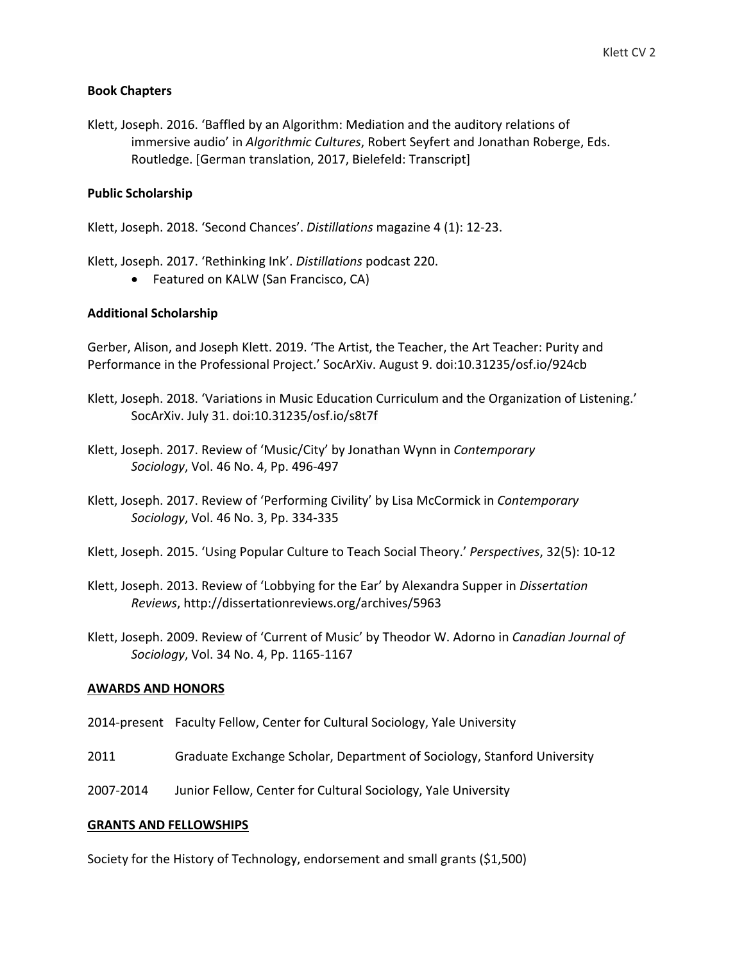# **Book Chapters**

Klett, Joseph. 2016. 'Baffled by an Algorithm: Mediation and the auditory relations of immersive audio' in *Algorithmic Cultures*, Robert Seyfert and Jonathan Roberge, Eds. Routledge. [German translation, 2017, Bielefeld: Transcript]

# **Public Scholarship**

Klett, Joseph. 2018. 'Second Chances'. *Distillations* magazine 4 (1): 12-23.

Klett, Joseph. 2017. 'Rethinking Ink'. *Distillations* podcast 220.

• Featured on KALW (San Francisco, CA)

# **Additional Scholarship**

Gerber, Alison, and Joseph Klett. 2019. 'The Artist, the Teacher, the Art Teacher: Purity and Performance in the Professional Project.' SocArXiv. August 9. doi:10.31235/osf.io/924cb

- Klett, Joseph. 2018. 'Variations in Music Education Curriculum and the Organization of Listening.' SocArXiv. July 31. doi:10.31235/osf.io/s8t7f
- Klett, Joseph. 2017. Review of 'Music/City' by Jonathan Wynn in *Contemporary Sociology*, Vol. 46 No. 4, Pp. 496-497
- Klett, Joseph. 2017. Review of 'Performing Civility' by Lisa McCormick in *Contemporary Sociology*, Vol. 46 No. 3, Pp. 334-335
- Klett, Joseph. 2015. 'Using Popular Culture to Teach Social Theory.' *Perspectives*, 32(5): 10-12
- Klett, Joseph. 2013. Review of 'Lobbying for the Ear' by Alexandra Supper in *Dissertation Reviews*, http://dissertationreviews.org/archives/5963
- Klett, Joseph. 2009. Review of 'Current of Music' by Theodor W. Adorno in *Canadian Journal of Sociology*, Vol. 34 No. 4, Pp. 1165-1167

## **AWARDS AND HONORS**

- 2014-present Faculty Fellow, Center for Cultural Sociology, Yale University
- 2011 Graduate Exchange Scholar, Department of Sociology, Stanford University
- 2007-2014 Junior Fellow, Center for Cultural Sociology, Yale University

## **GRANTS AND FELLOWSHIPS**

Society for the History of Technology, endorsement and small grants (\$1,500)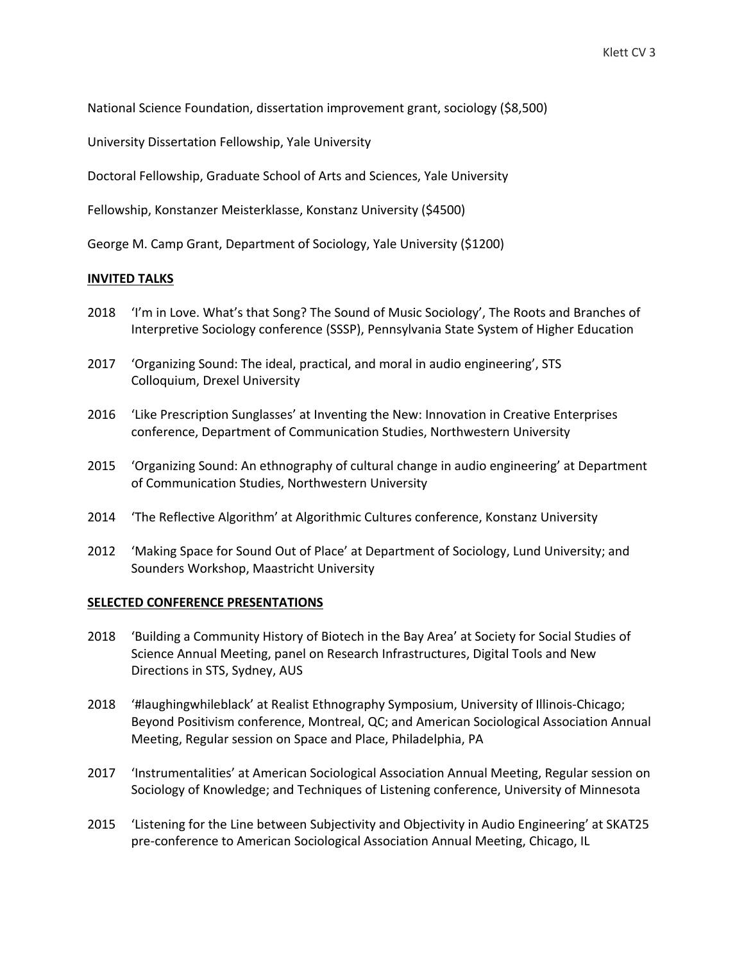National Science Foundation, dissertation improvement grant, sociology (\$8,500)

University Dissertation Fellowship, Yale University

Doctoral Fellowship, Graduate School of Arts and Sciences, Yale University

Fellowship, Konstanzer Meisterklasse, Konstanz University (\$4500)

George M. Camp Grant, Department of Sociology, Yale University (\$1200)

### **INVITED TALKS**

- 2018 'I'm in Love. What's that Song? The Sound of Music Sociology', The Roots and Branches of Interpretive Sociology conference (SSSP), Pennsylvania State System of Higher Education
- 2017 'Organizing Sound: The ideal, practical, and moral in audio engineering', STS Colloquium, Drexel University
- 2016 'Like Prescription Sunglasses' at Inventing the New: Innovation in Creative Enterprises conference, Department of Communication Studies, Northwestern University
- 2015 'Organizing Sound: An ethnography of cultural change in audio engineering' at Department of Communication Studies, Northwestern University
- 2014 'The Reflective Algorithm' at Algorithmic Cultures conference, Konstanz University
- 2012 'Making Space for Sound Out of Place' at Department of Sociology, Lund University; and Sounders Workshop, Maastricht University

#### **SELECTED CONFERENCE PRESENTATIONS**

- 2018 'Building a Community History of Biotech in the Bay Area' at Society for Social Studies of Science Annual Meeting, panel on Research Infrastructures, Digital Tools and New Directions in STS, Sydney, AUS
- 2018 '#laughingwhileblack' at Realist Ethnography Symposium, University of Illinois-Chicago; Beyond Positivism conference, Montreal, QC; and American Sociological Association Annual Meeting, Regular session on Space and Place, Philadelphia, PA
- 2017 'Instrumentalities' at American Sociological Association Annual Meeting, Regular session on Sociology of Knowledge; and Techniques of Listening conference, University of Minnesota
- 2015 'Listening for the Line between Subjectivity and Objectivity in Audio Engineering' at SKAT25 pre-conference to American Sociological Association Annual Meeting, Chicago, IL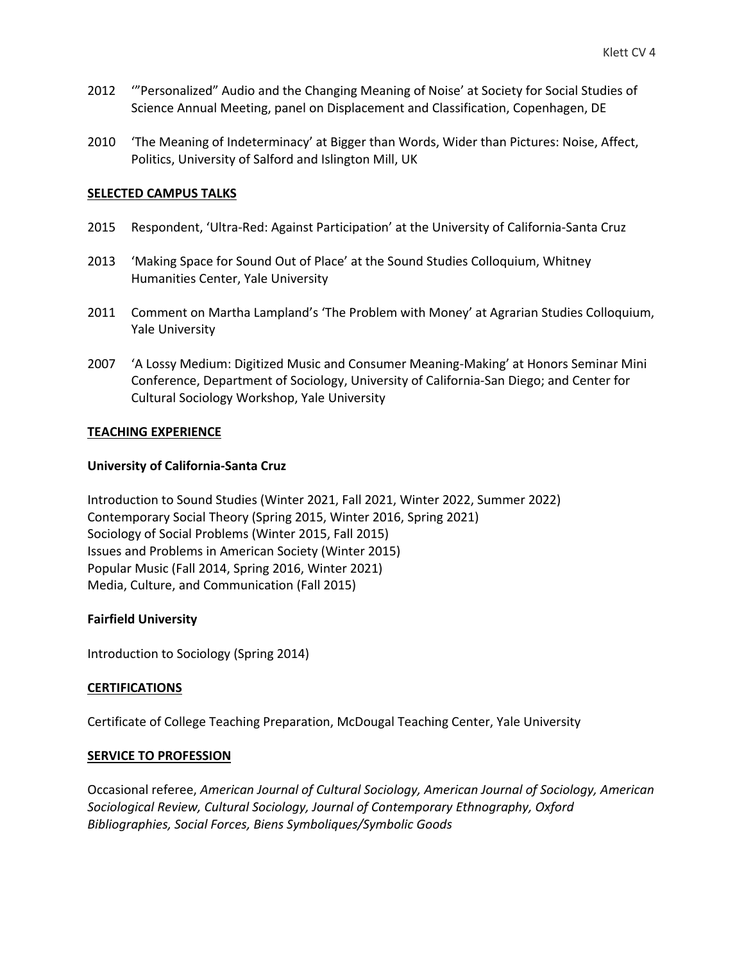- 2012 '"Personalized" Audio and the Changing Meaning of Noise' at Society for Social Studies of Science Annual Meeting, panel on Displacement and Classification, Copenhagen, DE
- 2010 'The Meaning of Indeterminacy' at Bigger than Words, Wider than Pictures: Noise, Affect, Politics, University of Salford and Islington Mill, UK

### **SELECTED CAMPUS TALKS**

- 2015 Respondent, 'Ultra-Red: Against Participation' at the University of California-Santa Cruz
- 2013 'Making Space for Sound Out of Place' at the Sound Studies Colloquium, Whitney Humanities Center, Yale University
- 2011 Comment on Martha Lampland's 'The Problem with Money' at Agrarian Studies Colloquium, Yale University
- 2007 'A Lossy Medium: Digitized Music and Consumer Meaning-Making' at Honors Seminar Mini Conference, Department of Sociology, University of California-San Diego; and Center for Cultural Sociology Workshop, Yale University

### **TEACHING EXPERIENCE**

### **University of California-Santa Cruz**

Introduction to Sound Studies (Winter 2021, Fall 2021, Winter 2022, Summer 2022) Contemporary Social Theory (Spring 2015, Winter 2016, Spring 2021) Sociology of Social Problems (Winter 2015, Fall 2015) Issues and Problems in American Society (Winter 2015) Popular Music (Fall 2014, Spring 2016, Winter 2021) Media, Culture, and Communication (Fall 2015)

## **Fairfield University**

Introduction to Sociology (Spring 2014)

## **CERTIFICATIONS**

Certificate of College Teaching Preparation, McDougal Teaching Center, Yale University

### **SERVICE TO PROFESSION**

Occasional referee, *American Journal of Cultural Sociology, American Journal of Sociology, American Sociological Review, Cultural Sociology, Journal of Contemporary Ethnography, Oxford Bibliographies, Social Forces, Biens Symboliques/Symbolic Goods*